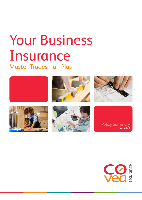# Master Tradesman Plus Your Business Insurance



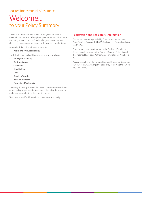### Welcome... to your Policy Summary

The Master Tradesman Plus product is designed to meet the demands and needs of self-employed persons and small businesses (including limited companies) undertaking a variety of manual, clerical and professional trades who wish to protect their business.

As standard, the policy will provide cover for:

• **Public and Products Liability**

The following optional additional covers are also available:

- **Employers' Liability**
- **Contract Works**
- **Own Plant**
- **Hired in Plant**
- **Tools**
- **Goods in Transit**
- **Personal Accident**
- **Professional Indemnity**

This Policy Summary does not describe all the terms and conditions of your policy, so please take time to read the policy document to make sure you understand the cover it provides.

Your cover is valid for 12 months and is renewable annually.

#### Registration and Regulatory Information

This insurance cover is provided by Covea Insurance plc, Norman Place, Reading, Berkshire RG1 8DA. Registered in England and Wales No. 613259.

Covea Insurance plc is authorised by the Prudential Regulation Authority and regulated by the Financial Conduct Authority and the Prudential Regulation Authority. Its Firm Reference Number is 202277.

You can check this on the Financial Services Register by visiting the FCA's website www.fca.org.uk/register or by contacting the FCA on 0800 111 6768.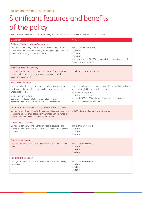## Significant features and benefits of the policy

The table below shows the benefits of this policy and the maximum amounts we will pay in the event of a claim:

| Description                                                                                                                                                                                                                                                                                                                                           | Cover                                                                                                                                                                                                                                                                                    |
|-------------------------------------------------------------------------------------------------------------------------------------------------------------------------------------------------------------------------------------------------------------------------------------------------------------------------------------------------------|------------------------------------------------------------------------------------------------------------------------------------------------------------------------------------------------------------------------------------------------------------------------------------------|
| <b>Public and Products Liability (Compulsory)</b><br>Legal liability for injury, illness or disease to any member of the<br>public and damage to their property occurring during the period of<br>insurance and arising out of the business                                                                                                           | Limits of Indemnity available:<br>£1 Million<br>€2 Million<br>€5 Million<br>(including up to £1,000,000 per period of insurance in respect of<br>Communicable Disease.)                                                                                                                  |
| <b>Employers' Liability (Optional)</b><br>Legal liability for injury, illness, death or disease of any employee<br>caused during the period of insurance and arising out of the<br>business of the insured                                                                                                                                            | £10 Million Limit of Indemnity                                                                                                                                                                                                                                                           |
| <b>Tools Cover (Optional)</b><br>Damage to hand tools and hand held portable tools owned for<br>use in connection with the business including loss or theft from<br>unattended vehicles<br>2 levels of cover avaiable:<br><b>Standard</b> – excludes theft from unattended vehicles<br><b>Standard Plus</b> - includes theft from unattended vehicles | If required all manual principals, partners, directors and/or employees<br>must be included for the same level of cover<br>Maximum limits available:<br>£1,250, £2,500 or £5,000<br>A limit of £500 or 20% of the sum insured whichever is greater<br>applies in respect of any one tool |
| Goods in Transit (Optional and only availble with Tools Cover)<br>Damage to goods pertaining to the business whilst in or on or being<br>loaded into or onto or unloaded from any motor vehicle owned by<br>or operated under the direct control of the Insured                                                                                       | £2,000 Maximum Limit any one occurrence                                                                                                                                                                                                                                                  |
| <b>Contract Works (Optional)</b><br>Damage to temporary and permanent works executed by the<br>insured including materials supplied or used in connection with the<br>contract                                                                                                                                                                        | Limits of cover available:<br>€100,000<br>£250,000<br>€500,000                                                                                                                                                                                                                           |
| <b>Own Plant (Optional)</b><br>Damage to constructional plant tools and equipment owned by the   Limits of cover available:<br>insured                                                                                                                                                                                                                | £10,000<br>£25,000<br>€50,000                                                                                                                                                                                                                                                            |
| <b>Hired in Plant (Optional)</b><br>Damage to constructional plant tools and equipment hired in by<br>the insured                                                                                                                                                                                                                                     | Limits of cover available:<br>€10,000<br>£25,000<br>€50,000                                                                                                                                                                                                                              |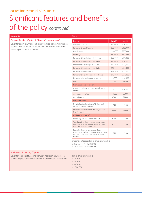## Significant features and benefits of the policy *continued*

#### **Description** Cover Personal Accident (Optional, 2 levels of cover available) Cover for bodily injury or death to any insured person following an accident with an option to include short term income protection following an accident or sickness **Benefit Benefit Level 2 Level 1 Level 2** Accidental Death  $\overline{25,000}$  £50,000 Permanent Total Disability **E50,000** £100,000 Quadriplegia **E100,000** £200,000 Paraplegia **E50,000** £100,000 Permanent loss of sight in both eyes  $\left| \right|$  £25,000  $\left| \right|$  £50,000 Permanent loss of use of two limbs  $\left| \right|$  £25,000 £50,000 Permanent loss of sight in one eyes  $\left| \right|$  £12,500  $\left| \right|$  £25,000 Permanent loss of use of one limbs  $\left| \right|$  £12,500  $\left| \right|$  £25,000 Permanent loss of speech  $\text{£12,500}$   $\text{£25,000}$ Permanent loss of hearing in both ears  $\left| \right|$  £12,500  $\left| \right|$  £25,000 Permanent loss of hearing in one ears  $\left| \right|$  £5,000  $\left| \right|$  £10,000 Burns **E1,250 E2,500 Permanent loss of use of:** A shoulder, elbow, hip, knee, thumb, wrist  $\begin{array}{c|c|c|c|c|c|c|c} \hline \text{F5,000} & \text{f10,000} \ \text{or ankle} & & & \text{f5,000} \ \hline \end{array}$ Any finger or big toe  $\left| \right|$  £2,500  $\left| \right|$  £5,000 Any other toe  $\qquad \qquad$  £500  $\qquad$  £1,000 **Hospitalisation:** Hospitalisation (Maximum 45 days and Hospitalisation (Maximum 45 days and<br>after a minimum 24 hours) E50 E100 Extended hospitalisation (for stays longer  $\begin{array}{|l|l|}\n\hline\n\text{E} & \text{E} & \text{E} & \text{E} & \text{E} & \text{E} & \text{E} & \text{E} & \text{E} & \text{E} & \text{E} & \text{E} & \text{E} & \text{E} & \text{E} & \text{E} & \text{E} & \text{E} & \text{E} & \text{E} & \text{E} & \text{E} & \text{E} & \text{E} & \text{E} & \text{E} & \text{E} &$ **A Major Fracture of:** Upper leg; vertebral body; Pelvis; Skull.  $\qquad \qquad \qquad$  £250  $\qquad \qquad$  £500 Vertebra other than vertebral body; lower leg; lower jaw; breastbone; shoulder blade; kneecap; upper arm; lower arm.  $£125$   $£250$ Lower leg; hand (metacarpals); foot (metatarsals); clavicle; coccyx; wrist (carpals) & Colles' fracture ankle (tarsals) & Pott's fracture. £50 £100 Income protection: Limits of cover available £250 a week for 12 months £500 a week for 12 months Professional Indemnity (Optional) Cover for legal liability arising from any negligent act, negligent error or negligent omission occurring in the course of the business Limits of cover available: £100,000 £250,000 £500,000 £1,000,000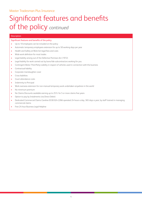## Significant features and benefits of the policy *continued*

#### Description

#### Significant features and benefits of the policy

- Up to 10 employees can be included on the policy
- Automatic temporary employees extension for up to 50 working days per year
- Health and Safety at Work Act legal fees and costs
- Wide work definition for most trades
- Legal liability arising out of the Defective Premises Act (1972)
- Legal liability for work carried out by bona fide subcontractors working for you
- Contingent Motor Third Party Liability in respect of vehicles used in connection with the business
- Contractual liability
- Corporate manslaughter cover
- Cross liabilities
- Court attendance costs
- Indemnity to Principal
- Work overseas extension for non-manual temporary work undertaken anywhere in the world
- No minimum premium
- No Claims Discounts available earning up to 25% for 5 or more claims free years
- Option to pay by Instalments (via Direct Debit)
- Dedicated Commercial Claims Careline 0330 024 2266 operated 24 hours a day, 365 days a year, by staff trained in managing commercial claims
- Free 24 hour Business Legal Helpline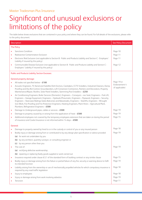## Significant and unusual exclusions or limitations of the policy

The table below shows exclusions that are contained in your policy and where they can be found. For full details of the exclusions, please refer to the policy document.

|                   | Description                                                                                                                                                                                                                                                                                                                                                                                                                                                                                                 | <b>See Policy Document</b>       |
|-------------------|-------------------------------------------------------------------------------------------------------------------------------------------------------------------------------------------------------------------------------------------------------------------------------------------------------------------------------------------------------------------------------------------------------------------------------------------------------------------------------------------------------------|----------------------------------|
| <b>The Policy</b> |                                                                                                                                                                                                                                                                                                                                                                                                                                                                                                             |                                  |
| $\bullet$         | <b>Sanctions Condition</b><br>Radioactive Contamination Exclusion<br>Electronic Risk Exclusion (not applicable to Section B - Public and Products Liability and Section C - Employers'<br>Liability if insured by this policy)                                                                                                                                                                                                                                                                              | Page 10<br>Page 11<br>Page 11    |
|                   | Communicable Disease Exclusion (not applicable to Section B - Public and Products Liability and Section C -<br>Employers' Liability if insured by this policy)                                                                                                                                                                                                                                                                                                                                              | Page 12                          |
|                   | <b>Public and Products Liability Section Excesses:</b>                                                                                                                                                                                                                                                                                                                                                                                                                                                      |                                  |
|                   | <b>General property damage:</b>                                                                                                                                                                                                                                                                                                                                                                                                                                                                             |                                  |
|                   | All trades not specified below $-$ £100                                                                                                                                                                                                                                                                                                                                                                                                                                                                     | Page 19 or                       |
|                   | Acoustic Engineers, TV Aerial and Satellite Dish Erectors, Caretakers, CCTV Installers, Industrial Cleaners, Damp<br>Proofing and Dry Rot Control, Groundworkers, Loft Conversion Contractors, Painters and Decorators, Property<br>Maintenance/Repair, Roofers, Solar Panel Installers, Swimming Pool Installers - £250                                                                                                                                                                                    | Endorsement 4<br>(if applicable) |
|                   | Air Conditioning Engineers, Boiler Services (Domestic), Engineers - Conveyors - exc heat, Engineers - Fork Lift,<br>Engineers - Garage Equipment, Engineers - Hydraulic/Pneumatic, Engineers - Pipework, Engineers - Security,<br>Engineers - Staircases Railings Gates Balconies and Balustrades, Engineers - Stairlifts, Engineers - Wrought<br>Iron Work, Fire Proofing and Fire Protection Engineers, Heating Engineers, Plant Hirers - Agricultural Plant,<br>Plumbers, Refrigeration Engineers - £500 |                                  |
| $\bullet$         | Damage to Underground pipes, cables or services - £500                                                                                                                                                                                                                                                                                                                                                                                                                                                      | Page 19                          |
| ۰                 | Damage to property caused by or arising from the application of heat $-E500$                                                                                                                                                                                                                                                                                                                                                                                                                                | Page 19                          |
|                   | Additional employees not covered by the temporary employees extension that are taken on during the period<br>of insurance and Covéa Insurance is not informed within 14 days - £500                                                                                                                                                                                                                                                                                                                         | Page 15                          |
|                   | General:                                                                                                                                                                                                                                                                                                                                                                                                                                                                                                    |                                  |
|                   | Damage to property owned by hired to or in the custody or control of you or any insured person                                                                                                                                                                                                                                                                                                                                                                                                              | Page 18                          |
|                   | Bodily injury or damage arising from or contributed to by any design plan specification or advice provided                                                                                                                                                                                                                                                                                                                                                                                                  | Page 19                          |
|                   | (a) for work not undertaken by you                                                                                                                                                                                                                                                                                                                                                                                                                                                                          |                                  |
|                   | (b) by any architect, quantity surveyor, or consulting engineer or                                                                                                                                                                                                                                                                                                                                                                                                                                          |                                  |
|                   | (c) by any person other than you                                                                                                                                                                                                                                                                                                                                                                                                                                                                            |                                  |
|                   | The cost of:                                                                                                                                                                                                                                                                                                                                                                                                                                                                                                | Page 19                          |
|                   | (a) rectifying defective workmanship;                                                                                                                                                                                                                                                                                                                                                                                                                                                                       |                                  |
|                   | (b) repairing or replacing faulty goods supplied or work carried out<br>Insurance required under clause 6.5.1 of the standard form of building contract or any similar clause                                                                                                                                                                                                                                                                                                                               | Page 15                          |
| ٠<br>۰            | Bodily injury or damage arising from the failure or partial failure of any fire, security or warning device to fulfil                                                                                                                                                                                                                                                                                                                                                                                       | Page 19                          |
|                   | its intended function                                                                                                                                                                                                                                                                                                                                                                                                                                                                                       |                                  |
|                   | Liability arising from the ownership or use of mechanically propelled vehicles for which compulsory insurance is<br>required by any road traffic legislation                                                                                                                                                                                                                                                                                                                                                | Page 18                          |
| ۰                 | Injury to employees                                                                                                                                                                                                                                                                                                                                                                                                                                                                                         | Page 18                          |
|                   | Injury or damage arising from work involving asbestos                                                                                                                                                                                                                                                                                                                                                                                                                                                       | Page 19                          |
|                   | Terrorism                                                                                                                                                                                                                                                                                                                                                                                                                                                                                                   | Page 11                          |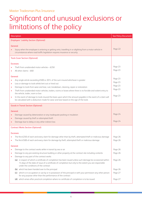| Description                                                                                                                                                                                                                                                   | <b>See Policy Document</b> |
|---------------------------------------------------------------------------------------------------------------------------------------------------------------------------------------------------------------------------------------------------------------|----------------------------|
| <b>Employers' Liability Section (Optional)</b>                                                                                                                                                                                                                |                            |
| General:                                                                                                                                                                                                                                                      |                            |
| Injury when the employee is entering or getting onto, travelling in or alighting from a motor vehicle in<br>circumstances where road traffic legislation requires insurance or security                                                                       | Page 22                    |
| <b>Tools Cover Section (Optional)</b>                                                                                                                                                                                                                         |                            |
| Excesses:                                                                                                                                                                                                                                                     |                            |
| Theft from unattended motor vehicles $-E250$                                                                                                                                                                                                                  | Page 23                    |
| All other claims $-$ £60                                                                                                                                                                                                                                      | Page 23                    |
| General:                                                                                                                                                                                                                                                      |                            |
| Any single article exceeding £500 or 20% of the sum insured whichever is greater                                                                                                                                                                              | Page 23                    |
| Loss or damage to tools whilst lent out or hired out<br>٠                                                                                                                                                                                                     | Page 23                    |
| Damage to tools from wear and tear, rust, breakdown, cleaning, repair or restoration<br>٠                                                                                                                                                                     | Page 23                    |
| Theft from unattended motor vehicles, trailers, rooms or boxes where there is no forcible and violent entry to<br>$\bullet$<br>the vehicle, trailer, room or box                                                                                              | Page 23                    |
| In the event of damage to tools insured the basis upon which the amount payable in the event of a claim will<br>٠<br>be calculated with a deduction made for wear and tear based on the age of the tools                                                      | Page 23                    |
| <b>Goods in Transit Section (Optional)</b>                                                                                                                                                                                                                    |                            |
|                                                                                                                                                                                                                                                               |                            |
| General:<br>Damage caused by deterioration or any inadequate packing or insulation                                                                                                                                                                            | Page 24                    |
| Damage caused by theft or attempted theft                                                                                                                                                                                                                     |                            |
| Damage due to delay or any other indirect loss                                                                                                                                                                                                                | Page 24                    |
|                                                                                                                                                                                                                                                               |                            |
| <b>Contract Works Section (Optional)</b>                                                                                                                                                                                                                      |                            |
| Excesses:                                                                                                                                                                                                                                                     |                            |
| The first £250 of each and every claim for damage other than by theft, attempted theft or malicious damage                                                                                                                                                    | Page 26                    |
| The first £500 of each and every claim for damage by theft, attempted theft or malicious damage                                                                                                                                                               | Page 26                    |
| General:                                                                                                                                                                                                                                                      |                            |
| Damage to the contract works while in transit by sea or air                                                                                                                                                                                                   | Page 26                    |
| Damage to any pre-existing structure building or other property at the contract site including contents                                                                                                                                                       | Page 26                    |
| Damage to any part of the contract works                                                                                                                                                                                                                      |                            |
| (a) in respect of which a certificate of completion has been issued unless such damage be occasioned within<br>14 days of the date of issue of a certificate of completion but only to the extent you are responsible<br>under the conditions of the contract | Page 26                    |
| (b) which has been handed over to the principal                                                                                                                                                                                                               | Page 26                    |
| (c) which is in occupation or use by or in possession of the principal or with your permission any other person<br>for any purpose other than the performance of the contract                                                                                 | Page 27                    |
| (d) which arises after practical completion where no certificate of completion is to be issued                                                                                                                                                                | Page 27                    |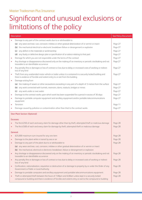|           | Description                                                                                                                                                                                                      | <b>See Policy Document</b> |
|-----------|------------------------------------------------------------------------------------------------------------------------------------------------------------------------------------------------------------------|----------------------------|
|           | Damage to any part of the contract works due to or attributable to                                                                                                                                               |                            |
|           | (a) any wear and tear, rust, corrosion, mildew or other gradual deterioration of or vermin or insect                                                                                                             | Page 27                    |
|           | (b) the mechanical electrical or electronic breakdown failure or derangement or explosion                                                                                                                        | Page 27                    |
|           | (c) any defect in the materials or workmanship                                                                                                                                                                   | Page 27                    |
|           | (d) any faulty or defective design plan or specification of or advice relating to that part                                                                                                                      | Page 27                    |
| $\bullet$ | Damage for which you are not responsible under the terms of the contract                                                                                                                                         | Page 27                    |
| $\bullet$ | Any shortage or disappearance discovered only on the making of an inventory or periodic stocktaking and not<br>traceable to an identifiable occurrence                                                           | Page 27                    |
| $\bullet$ | Any penalty fine or damages or loss of contract or loss due to delay or increased costs of working or indirect<br>loss of any kind                                                                               | Page 27                    |
| $\bullet$ | Theft from any unattended motor vehicle or trailer unless it is contained in a securely locked building and<br>there is evidence of forcible and violent entry to or exit from the building                      | Page 27                    |
| $\bullet$ | Damage arising from                                                                                                                                                                                              |                            |
|           | (a) the making of sewers or other excavations exceeding in any part of a depth of 3 metres from the surface                                                                                                      | Page 27                    |
|           | (b) any work connected with tunnels, reservoirs, dams, viaducts, bridges or mines                                                                                                                                | Page 27                    |
|           | (c) any work under or over water                                                                                                                                                                                 | Page 27                    |
| ٠         | Damage to the contract works upon which work has been suspended for a period in excess of 30 days                                                                                                                | Page 27                    |
| $\bullet$ | Damage to portable computer equipment and ancillary equipment and/or portable telecommunications<br>equipment                                                                                                    | Page 27                    |
|           | Terrorism                                                                                                                                                                                                        | Page 11                    |
|           | Damage caused by pollution or contamination other than that to the contract works                                                                                                                                | Page 27                    |
|           | <b>Own Plant Section (Optional)</b>                                                                                                                                                                              |                            |
|           |                                                                                                                                                                                                                  |                            |
| Excesses: |                                                                                                                                                                                                                  |                            |
|           | The first £250 of each and every claim for damage other than by theft, attempted theft or malicious damage                                                                                                       | Page 28                    |
| $\bullet$ | The first £500 of each and every claim for damage by theft, attempted theft or malicious damage                                                                                                                  | Page 28                    |
| General:  |                                                                                                                                                                                                                  |                            |
|           | £25,000 maximum sum insured for any one item                                                                                                                                                                     | Page 28                    |
|           | Damage to the plant while in transit by sea or air                                                                                                                                                               | Page 28                    |
|           | Damage to any part of the plant due to or attributable to                                                                                                                                                        | Page 28                    |
|           | (a) any wear and tear, rust, corrosion, mildew or other gradual deterioration of or vermin or insect                                                                                                             |                            |
|           | (b) the mechanical, electrical or electronic breakdown, failure or derangement or explosion                                                                                                                      |                            |
| $\bullet$ | Any shortage or disappearance discovered only on the making of an inventory or periodic stocktaking and not<br>traceable to an identifiable occurrence                                                           | Page 28                    |
| $\bullet$ | Any penalty fine or damages or loss of contract or loss due to delay or increased costs of working or indirect<br>loss of any kind                                                                               | Page 28                    |
| $\bullet$ | Confiscation, nationalisation, requisition or destruction of or damage to property by or under the Order of any<br>Government or Public or Local Authority                                                       | Page 28                    |
| $\bullet$ | Damage to portable computers and ancillary equipment and portable telecommunications equipment                                                                                                                   | Page 28                    |
|           | Theft or attempted theft between the hours of 7.00pm and 6.00am unless kept in a securely locked<br>compound or building and there is evidence of forcible and violent entry or exit to the compound or building | Page 28                    |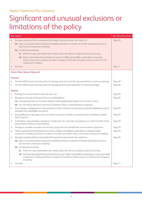| Description |                                                                                                                                                                                                                               | <b>See Policy Document</b> |
|-------------|-------------------------------------------------------------------------------------------------------------------------------------------------------------------------------------------------------------------------------|----------------------------|
|             | Damage caused by theft or attempted theft away from any contract site unless it is:                                                                                                                                           | Page 28                    |
|             | (a) kept in a securely locked compound or building and there is evidence of forcible and violent entry to or<br>exit from the compound or building                                                                            |                            |
|             | (b) in transit but excluding                                                                                                                                                                                                  |                            |
|             | (i) theft from any unattended motor vehicle unless the vehicle is locked at all points of access                                                                                                                              |                            |
|             | (ii) theft or attempted theft between the hours of 7.00pm and 6.00am unless kept in a securely<br>locked compound or building and there is evidence of forcible and violent entry to or exit from the<br>compound or building |                            |
|             | Terrorism                                                                                                                                                                                                                     | Page 11                    |
|             | <b>Hired in Plant Section (Optional)</b>                                                                                                                                                                                      |                            |
|             | Excesses:                                                                                                                                                                                                                     |                            |
|             | The first £250 of each and every claim for damage other than by theft, attempted theft or malicious damage                                                                                                                    | Page 29                    |
|             | The first £500 of each and every claim for damage by theft, attempted theft or malicious damage                                                                                                                               | Page 29                    |
|             | General:                                                                                                                                                                                                                      |                            |
|             | Damage to the plant while in transit by sea or air                                                                                                                                                                            | Page 29                    |
| $\bullet$   | Damage to any part of the plant due to or attributable to                                                                                                                                                                     | Page 29                    |
|             | (a) any wear and tear rust corrosion mildew or other gradual deterioration of or vermin or insect                                                                                                                             |                            |
|             | (b) the mechanical electrical or electronic breakdown failure or derangement or explosion                                                                                                                                     |                            |
| $\bullet$   | Any shortage or disappearance discovered only on the making of an inventory or periodic stocktaking and not<br>traceable to an identifiable occurrence                                                                        | Page 29                    |
| $\bullet$   | Any penalty fine or damages or loss of contract or loss due to delay or increased costs of working or indirect<br>loss of any kind                                                                                            | Page 29                    |
| $\bullet$   | Confiscation, nationalisation, requisition or destruction of or damage to property by or under the Order of any<br>Government or Public or Local Authority                                                                    | Page 29                    |
| $\bullet$   | Damage to portable computers and ancillary equipment and portable telecommunications equipment                                                                                                                                | Page 29                    |
| $\bullet$   | Theft or attempted theft between the hours of 7.00pm and 6.00am unless kept in a securely locked<br>compound or building and there is evidence of forcible and violent entry or exit to the compound or building              | Page 29                    |
|             | Damage caused by theft or attempted theft away from any contract site unless it is:                                                                                                                                           | Page 30                    |
|             | (a) kept in a securely locked compound or building and there is evidence of forcible and violent entry to or<br>exit from the compound or building                                                                            |                            |
|             | (b) in transit but excluding                                                                                                                                                                                                  |                            |
|             | (i) theft from any unattended motor vehicle unless the vehicle is locked at all points of access                                                                                                                              |                            |
|             | (ii) theft and attempted theft between the hours of 7.00pm and 6.00am unless kept in a securely locked<br>compound or building and there is evidence of forcible or violent entry to or exit from the compound<br>or building |                            |
|             | Terrorism                                                                                                                                                                                                                     | Page 11                    |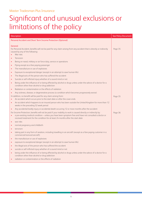| Description                                                                                                                                                                                                                                                                                                                 | <b>See Policy Document</b> |
|-----------------------------------------------------------------------------------------------------------------------------------------------------------------------------------------------------------------------------------------------------------------------------------------------------------------------------|----------------------------|
| Personal Accident and Short Term Income Protection (Optional)                                                                                                                                                                                                                                                               |                            |
| General:<br>For Personal Accident, benefits will not be paid for any claim arising from any accident that is directly or indirectly<br>caused by any of the following:<br>War risks                                                                                                                                         | Page 35                    |
| Terrorism                                                                                                                                                                                                                                                                                                                   |                            |
| Being on naval, military or air force duty, service or operations<br>$\bullet$                                                                                                                                                                                                                                              |                            |
| Flying except as a fare paying passenger<br>$\bullet$                                                                                                                                                                                                                                                                       |                            |
| The manufacture or use of explosives<br>$\bullet$                                                                                                                                                                                                                                                                           |                            |
| Exposure to exceptional danger (except in an attempt to save human life)<br>$\bullet$                                                                                                                                                                                                                                       |                            |
| The illegal acts of the person who has suffered the accident<br>$\bullet$                                                                                                                                                                                                                                                   |                            |
| Suicide or self-inflicted injury whether of a sound mind or not<br>$\bullet$                                                                                                                                                                                                                                                |                            |
| Being under the influence of or being affected by alcohol or drugs unless under the advice of a doctor for a<br>$\bullet$<br>condition other than alcohol or drug addiction                                                                                                                                                 |                            |
| Radiation or contamination or the effects of radiation<br>$\bullet$                                                                                                                                                                                                                                                         |                            |
| Any sickness, disease, or degenerative process (a condition which becomes progressively worse)<br>$\bullet$                                                                                                                                                                                                                 |                            |
| In addition, no benefit will be paid for any claim arising from:<br>An accident which occurs prior to the start date or after the cover ends                                                                                                                                                                                | Page 35                    |
| An accident which happens to an insured person who has been outside the United Kingdom for more than 12<br>$\bullet$<br>weeks in the preceding 52 week period                                                                                                                                                               |                            |
| Any accidental bodily injury or accidental death occurring 12 or more months after the accident<br>$\bullet$                                                                                                                                                                                                                |                            |
| For Income Protection, benefits will not be paid if your inability to work is caused directly or indirectly by:<br>a pre-existing medical condition - unless you have been symptom free and have not consulted a doctor or<br>$\bullet$<br>received treatment for the condition for at least 24 months after the start date | Page 36                    |
| war risks<br>$\bullet$                                                                                                                                                                                                                                                                                                      |                            |
| normal pregnancy and childbirth<br>٠                                                                                                                                                                                                                                                                                        |                            |
| terrorism                                                                                                                                                                                                                                                                                                                   |                            |
| taking part in any form of aviation, including travelling in an aircraft (except as a fare paying customer in a<br>٠<br>commercial licenced aircraft)                                                                                                                                                                       |                            |
| the manufacture or use of explosives                                                                                                                                                                                                                                                                                        |                            |
| exposure to exceptional danger (except in an attempt to save human life)                                                                                                                                                                                                                                                    |                            |
| the illegal acts of the person who has suffered the accident                                                                                                                                                                                                                                                                |                            |
| suicide or self-inflicted injury whether of a sound mind or not<br>$\bullet$                                                                                                                                                                                                                                                |                            |
| being under the influence of or being affected by alcohol or drugs unless under the advice of a doctor for a<br>condition other than alcohol or drug addiction                                                                                                                                                              |                            |
| radiation or contamination or the effects of radiation                                                                                                                                                                                                                                                                      |                            |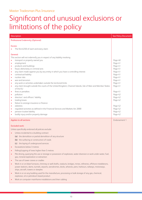| Description                                                                                                                                                                                                                                                                                                                                                                                                                                                                                                                                                                                                                                                                                                                                                                                                                                                                                                                                                                                                                                                                                 | <b>See Policy Document</b>                                                                                                                                                                         |
|---------------------------------------------------------------------------------------------------------------------------------------------------------------------------------------------------------------------------------------------------------------------------------------------------------------------------------------------------------------------------------------------------------------------------------------------------------------------------------------------------------------------------------------------------------------------------------------------------------------------------------------------------------------------------------------------------------------------------------------------------------------------------------------------------------------------------------------------------------------------------------------------------------------------------------------------------------------------------------------------------------------------------------------------------------------------------------------------|----------------------------------------------------------------------------------------------------------------------------------------------------------------------------------------------------|
| <b>Professional Indemnity (Optional)</b>                                                                                                                                                                                                                                                                                                                                                                                                                                                                                                                                                                                                                                                                                                                                                                                                                                                                                                                                                                                                                                                    |                                                                                                                                                                                                    |
| Excess:<br>The first £250 of each and every claim                                                                                                                                                                                                                                                                                                                                                                                                                                                                                                                                                                                                                                                                                                                                                                                                                                                                                                                                                                                                                                           |                                                                                                                                                                                                    |
| General:<br>This section will not indemnify you in respect of any liability involving<br>transport or property owned you<br>employment<br>$\bullet$<br>products and buildings<br>٠<br>fraud, dishonesty or criminal acts<br>٠<br>any claim made against you by any entity in which you have a controlling interest<br>٠<br>contractual liability<br>٠<br>nuclear risks<br>٠<br>war and terrorism<br>٠<br>any work or activities undertaken outside the territorial limits<br>٠<br>any claim brought outside the courts of the United Kingdom, Channel Islands, Isle of Man and Member States<br>٠<br>of the EU<br>fines or penalties<br>٠<br>pollution<br>٠<br>directors' and officers' liability<br>٠<br>trading losses<br>٠<br>failure to arrange insurance or finance<br>٠<br>asbestos<br>٠<br>regulated activities as defined in the Financial Services and Markets Act 2000<br>$\bullet$<br>pension trustee liability<br>bodily injury and/or property damage                                                                                                                          | Page 40<br>Page 41<br>Page 41<br>Page 41<br>Page 41<br>Page 41<br>Page 41<br>Page 41<br>Page 41<br>Page 41<br>Page 41<br>Page 42<br>Page 42<br>Page 42<br>Page 42<br>Page 42<br>Page 42<br>Page 42 |
| Applies to all sections                                                                                                                                                                                                                                                                                                                                                                                                                                                                                                                                                                                                                                                                                                                                                                                                                                                                                                                                                                                                                                                                     | Endorsement 1                                                                                                                                                                                      |
| <b>Excluded work:</b><br>Unless specifically endorsed all policies exclude:<br>Unless incidental to a building contract<br>(a) the demolition or partial demolition of any structure<br>(b) the surfacing or construction of roads<br>(c) the laying of underground services<br>Excavations below 3 metres<br>Felling/Lopping of trees higher than 5 metres<br>Pile driving, quarrying the use or storage or possession of explosives, water diversion or work under water, fuel,<br>$\bullet$<br>gas, mineral exploration or extraction<br>The use of tower cranes or cradles<br>Work in or on blast furnaces, chimney or well shafts, viaducts, bridges, mines, refineries, offshore installations,<br>power stations, dams, tunnels, airports, aerodromes, docks, wharves, piers, harbours, railways, motorways,<br>ships, aircraft, towers or steeples<br>Work in or on any building used for the manufacture, processing or bulk storage of any gas, chemical,<br>$\bullet$<br>explosive, oil or petroleum based product<br>Work on computer mainframe installations and their cabling |                                                                                                                                                                                                    |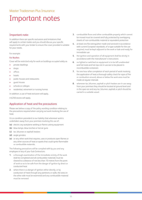### Important notes

#### Important note:

In addition there are specific exclusions and limitations that will apply to certain trades and you should discuss your specific requirements with your broker to ensure the cover provided is suitable for your needs.

For example:

#### For Roofers

Cover will be restricted only for work on buildings occupied solely as

- private dwellings
- shops
- offices
- hotels
- public houses and restaurants
- guest houses
- schools or colleges
- residential, retirement or nursing homes

In addition, a use of heat exclusion will apply.

A £250 excess will apply.

#### Application of heat and fire precautions

Please see below a copy of the policy wording condition relating to the precautions required when carrying out work involving the use of heat.

It is a condition precedent to our liability that whenever work is undertaken away from your premises involving the use of:

- **(a)** electric oxy-acetylene welding or flame cutting equipment
- **(b)** blow lamps, blow torches or hot air guns
- **(c)** tar, bitumen or asphalt heaters
- **(d)** angle grinders
- **(e)** or any other work that requires, uses or produces open flames or any other sources of heat or sparks that could ignite flammable or combustible materials.

The following precautions will be complied with by you and any employee or any of your Sub Contractors:

- **1.** a thorough examination of the immediate vicinity of the work shall be completed and all combustible materials must be cleared to a distance of not less than 10 metres from the point of work so as to be safe from the danger of ignition by direct or conducted heat
- **2.** where there is a danger of ignition either directly, or by conduction of heat through any partitions or walls, the area on the other side must be examined and any combustible material must be removed
- **3.** combustible floors and other combustible property which cannot be moved must be covered and fully protected by overlapping sheets of non-combustible material or equivalent protection
- **4.** at least one fire extinguisher made and serviced in accordance with current European standards, of a type suitable for the use required, must be kept adjacent to the work or task and ready for immediate use
- **5.** the ignition and operation of all equipment shall be strictly in accordance with the manufacturer's instructions
- **6.** no lighted or switched on equipment is to be left unattended and hot tools and hot tips not in use are to be placed in incombustible containers
- **7.** for one hour after completion of each period of work involving the application of heat a thorough safety check for signs of fire or combustion around, above or below the work area must be made at regular intervals
- **8.** whenever tar, bitumen, asphalt or pitch heaters are in use away from your premises they should be located at ground level and in the open air and any tar, bitumen, asphalt or pitch should be carried in a suitable vessel.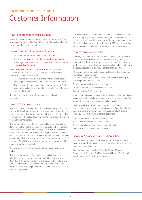### Customer Information

#### How to contact us to make a claim

Should you be unfortunate enough to have to make a claim, Covéa Insurance Commercial Careline will manage all aspects of the claim for you from the time it is reported.

#### Covéa Insurance Commercial Careline

- Dedicated telephone number 0330 024 2266
- By E-mail newcommercialclaims@coveainsurance.co.uk
- In writing to Covéa Insurance Commercial Careline, Norman Place, Reading RG1 8DA

Covéa Insurance Commercial Careline is a service available to customers 24 hours a day, 365 days a year. Staff trained in managing commercial claims will:

- Take the details of your claim over the phone, in most cases removing the need for completion of an incident report form.
- Take control of the management of claims from start to finish and arrange replacement of goods lost or stolen using the latest product information.

Our aim is to bring your claim to a speedy and satisfactory conclusion.

#### How to cancel your policy

If you do not want to accept the policy you have the right to cancel it within 14 days from the date of purchase of your policy or the day you receive your policy documentation, whichever is later. To do this you must return the policy documentation to your broker when giving your instruction to cancel.

If cover has not yet started a full refund will be given. If cover has started we will refund the premium for the exact number of days left on the policy, less an additional charge of £25 plus the prevailing rate of Insurance Premium Tax as stated on your policy schedule. No refund will be given if a claim has been submitted or there have been any incidents likely to give rise to a claim during the current period of insurance. We will also do this if you want to cancel the policy within 14 days after the renewal date.

You may cancel the policy at any other time by contacting your broker.

If you cancel your policy after 14 days and a claim has been submitted or there have been any incidents likely to give rise to a claim during the current period of insurance, we will not refund any part of the premium. If you have a Loan Agreement with Covéa Insurance, all outstanding monies must be paid to us as described in your Loan Agreement.

If no claims have been submitted and there have been no incidents that are likely to give rise to a claim during the current period of insurance, we will refund the premium for the exact number of days left on the policy less an additional charge of £25 plus the prevailing rate of Insurance Premium Tax as stated on your policy schedule.

#### How to make a complaint

It is always our intention to provide a first class standard of service. However we do appreciate that occasionally things go wrong. In some cases the broker who arranged your insurance will be able to resolve any concerns, particularly if your complaint relates to the way the policy was sold and you should contact them directly.

Alternatively, please contact us using the following details, quoting your policy or claim number.

Customer Relations, Covéa Insurance, Norman Place, Reading, RG1 8DA Telephone: 0330 221 0444

Website: www.coveainsurance.co.uk E-mail:

customer.relations-rdg@coveainsurance.co.uk

Full details of the Covéa Insurance

Internal Complaints Procedure are detailed in our leaflet 'Complaints Procedure' which is available on request or may be downloaded from our website at www.coveainsurance.co.uk/complaints.

You may be eligible to refer your complaint to the Financial Ombudsman Service. There are a few instances where they will not be able to assist and they will confirm if your complaint is eligible when you contact them. Their contact details are:

Financial Ombudsman Service, Exchange Tower,

Harbour Exchange Square, London, E14 9SR Website: www.financial-ombudsman.org.uk E-mail: complaint.info@financial-ombudsman.org.uk

#### Financial Services Compensation Scheme

We are covered by the Financial Services Compensation Scheme. You may be entitled to receive compensation from the scheme if we cannot meet our obligations.

Further information is available from the Financial Services Compensation Scheme, 10th Floor, Beaufort House, 15 St Botolph Street, London EC3A 7QU. www.fscs.org.uk.